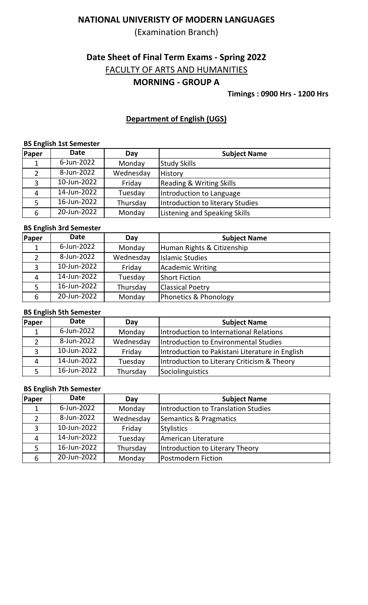(Examination Branch)

# **Date Sheet of Final Term Exams - Spring 2022**

FACULTY OF ARTS AND HUMANITIES

## **MORNING - GROUP A**

**Timings : 0900 Hrs - 1200 Hrs**

### **Department of English (UGS)**

#### **BS English 1st Semester**

| Paper | <b>Date</b> | Day       | <b>Subject Name</b>                 |
|-------|-------------|-----------|-------------------------------------|
|       | 6-Jun-2022  | Monday    | <b>Study Skills</b>                 |
| 2     | 8-Jun-2022  | Wednesday | History                             |
| 3     | 10-Jun-2022 | Friday    | <b>Reading &amp; Writing Skills</b> |
| 4     | 14-Jun-2022 | Tuesday   | Introduction to Language            |
|       | 16-Jun-2022 | Thursday  | Introduction to literary Studies    |
| 6     | 20-Jun-2022 | Monday    | Listening and Speaking Skills       |

#### **BS English 3rd Semester**

| Paper | <b>Date</b> | Day       | <b>Subject Name</b>        |
|-------|-------------|-----------|----------------------------|
|       | 6-Jun-2022  | Monday    | Human Rights & Citizenship |
| 2     | 8-Jun-2022  | Wednesday | <b>Islamic Studies</b>     |
| 3     | 10-Jun-2022 | Friday    | <b>Academic Writing</b>    |
|       | 14-Jun-2022 | Tuesday   | <b>Short Fiction</b>       |
|       | 16-Jun-2022 | Thursday  | <b>Classical Poetry</b>    |
| 6     | 20-Jun-2022 | Monday    | Phonetics & Phonology      |

#### **BS English 5th Semester**

| <b>Paper</b> | <b>Date</b> | Day       | <b>Subject Name</b>                             |
|--------------|-------------|-----------|-------------------------------------------------|
|              | 6-Jun-2022  | Monday    | Introduction to International Relations         |
|              | 8-Jun-2022  | Wednesday | Introduction to Environmental Studies           |
| 3            | 10-Jun-2022 | Friday    | Introduction to Pakistani Literature in English |
| 4            | 14-Jun-2022 | Tuesday   | Introduction to Literary Criticism & Theory     |
|              | 16-Jun-2022 | Thursday  | Sociolinguistics                                |

#### **BS English 7th Semester**

| Paper | <b>Date</b> | Day       | <b>Subject Name</b>                 |
|-------|-------------|-----------|-------------------------------------|
|       | 6-Jun-2022  | Monday    | Introduction to Translation Studies |
|       | 8-Jun-2022  | Wednesday | Semantics & Pragmatics              |
| 3     | 10-Jun-2022 | Friday    | <b>Stylistics</b>                   |
| 4     | 14-Jun-2022 | Tuesday   | American Literature                 |
|       | 16-Jun-2022 | Thursday  | Introduction to Literary Theory     |
| 6     | 20-Jun-2022 | Monday    | Postmodern Fiction                  |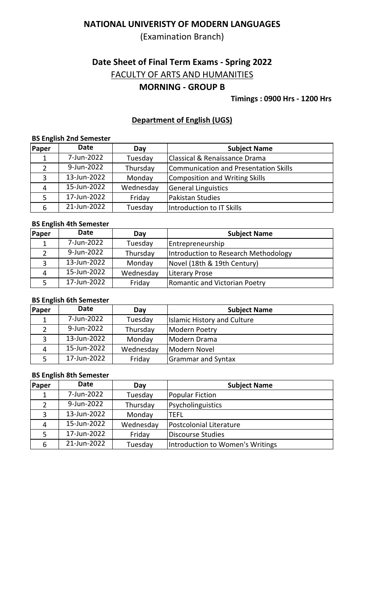(Examination Branch)

# **Date Sheet of Final Term Exams - Spring 2022**

FACULTY OF ARTS AND HUMANITIES

## **MORNING - GROUP B**

### **Timings : 0900 Hrs - 1200 Hrs**

### **Department of English (UGS)**

#### **BS English 2nd Semester**

| Paper | <b>Date</b> | Day       | <b>Subject Name</b>                          |
|-------|-------------|-----------|----------------------------------------------|
|       | 7-Jun-2022  | Tuesday   | <b>Classical &amp; Renaissance Drama</b>     |
|       | 9-Jun-2022  | Thursday  | <b>Communication and Presentation Skills</b> |
| 3     | 13-Jun-2022 | Monday    | <b>Composition and Writing Skills</b>        |
| 4     | 15-Jun-2022 | Wednesday | <b>General Linguistics</b>                   |
| 5     | 17-Jun-2022 | Friday    | Pakistan Studies                             |
| 6     | 21-Jun-2022 | Tuesday   | Introduction to IT Skills                    |

#### **BS English 4th Semester**

| Paper              | Date        | Day       | <b>Subject Name</b>                  |
|--------------------|-------------|-----------|--------------------------------------|
|                    | 7-Jun-2022  | Tuesday   | <b>Entrepreneurship</b>              |
|                    | 9-Jun-2022  | Thursday  | Introduction to Research Methodology |
|                    | 13-Jun-2022 | Monday    | Novel (18th & 19th Century)          |
| $\mathbf{\Lambda}$ | 15-Jun-2022 | Wednesday | Literary Prose                       |
| 5.                 | 17-Jun-2022 | Friday    | <b>Romantic and Victorian Poetry</b> |

#### **BS English 6th Semester**

| Paper | Date        | Day       | <b>Subject Name</b>                |
|-------|-------------|-----------|------------------------------------|
|       | 7-Jun-2022  | Tuesday   | <b>Islamic History and Culture</b> |
|       | 9-Jun-2022  | Thursday  | <b>Modern Poetry</b>               |
|       | 13-Jun-2022 | Monday    | Modern Drama                       |
| 4     | 15-Jun-2022 | Wednesday | Modern Novel                       |
|       | 17-Jun-2022 | Friday    | <b>Grammar and Syntax</b>          |

#### **BS English 8th Semester**

| Paper | <b>Date</b>               | Day       | <b>Subject Name</b>              |
|-------|---------------------------|-----------|----------------------------------|
|       | 7-Jun-2022                | Tuesday   | <b>Popular Fiction</b>           |
|       | 9-Jun-2022                | Thursday  | Psycholinguistics                |
|       | $\overline{13}$ -Jun-2022 | Monday    | TEFL                             |
| 4     | 15-Jun-2022               | Wednesday | Postcolonial Literature          |
| 5     | 17-Jun-2022               | Friday    | <b>Discourse Studies</b>         |
| 6     | 21-Jun-2022               | Tuesday   | Introduction to Women's Writings |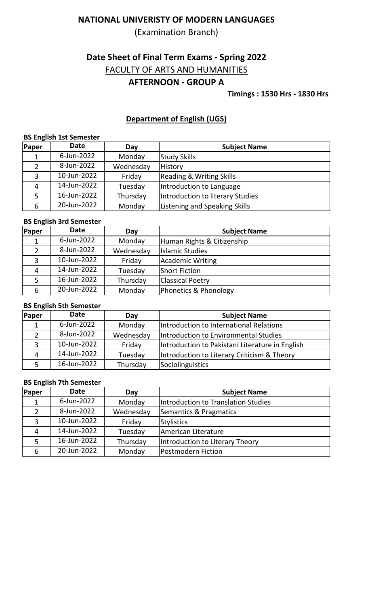(Examination Branch)

# **Date Sheet of Final Term Exams - Spring 2022**

FACULTY OF ARTS AND HUMANITIES

## **AFTERNOON - GROUP A**

**Timings : 1530 Hrs - 1830 Hrs**

### **Department of English (UGS)**

#### **BS English 1st Semester**

| Paper | <b>Date</b> | Day       | <b>Subject Name</b>                 |
|-------|-------------|-----------|-------------------------------------|
|       | 6-Jun-2022  | Monday    | <b>Study Skills</b>                 |
| 2     | 8-Jun-2022  | Wednesday | History                             |
| 3     | 10-Jun-2022 | Friday    | <b>Reading &amp; Writing Skills</b> |
| 4     | 14-Jun-2022 | Tuesday   | Introduction to Language            |
|       | 16-Jun-2022 | Thursday  | Introduction to literary Studies    |
| 6     | 20-Jun-2022 | Monday    | Listening and Speaking Skills       |

#### **BS English 3rd Semester**

| <b>Paper</b> | <b>Date</b> | Day       | <b>Subject Name</b>        |
|--------------|-------------|-----------|----------------------------|
|              | 6-Jun-2022  | Monday    | Human Rights & Citizenship |
|              | 8-Jun-2022  | Wednesday | <b>Islamic Studies</b>     |
| 3            | 10-Jun-2022 | Friday    | <b>Academic Writing</b>    |
| 4            | 14-Jun-2022 | Tuesday   | <b>Short Fiction</b>       |
| 5            | 16-Jun-2022 | Thursday  | <b>Classical Poetry</b>    |
| 6            | 20-Jun-2022 | Monday    | Phonetics & Phonology      |

#### **BS English 5th Semester**

| Paper | <b>Date</b> | Day       | <b>Subject Name</b>                             |
|-------|-------------|-----------|-------------------------------------------------|
|       | 6-Jun-2022  | Monday    | Introduction to International Relations         |
|       | 8-Jun-2022  | Wednesday | Introduction to Environmental Studies           |
| 3     | 10-Jun-2022 | Friday    | Introduction to Pakistani Literature in English |
|       | 14-Jun-2022 | Tuesday   | Introduction to Literary Criticism & Theory     |
|       | 16-Jun-2022 | Thursday  | Sociolinguistics                                |

#### **BS English 7th Semester**

| Paper | Date        | Day       | <b>Subject Name</b>                 |
|-------|-------------|-----------|-------------------------------------|
|       | 6-Jun-2022  | Monday    | Introduction to Translation Studies |
|       | 8-Jun-2022  | Wednesday | Semantics & Pragmatics              |
| Э     | 10-Jun-2022 | Friday    | Stylistics                          |
|       | 14-Jun-2022 | Tuesday   | American Literature                 |
|       | 16-Jun-2022 | Thursday  | Introduction to Literary Theory     |
| 6     | 20-Jun-2022 | Monday    | Postmodern Fiction                  |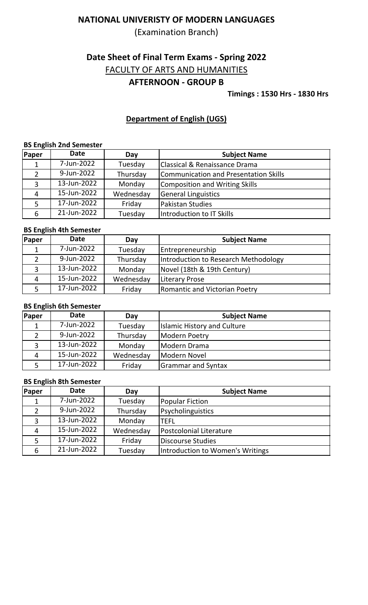(Examination Branch)

# **Date Sheet of Final Term Exams - Spring 2022**

FACULTY OF ARTS AND HUMANITIES

## **AFTERNOON - GROUP B**

**Timings : 1530 Hrs - 1830 Hrs**

## **Department of English (UGS)**

### **BS English 2nd Semester**

| Paper | <b>Date</b> | Day       | <b>Subject Name</b>                          |
|-------|-------------|-----------|----------------------------------------------|
|       | 7-Jun-2022  | Tuesday   | <b>Classical &amp; Renaissance Drama</b>     |
| 2     | 9-Jun-2022  | Thursday  | <b>Communication and Presentation Skills</b> |
| 3     | 13-Jun-2022 | Monday    | <b>Composition and Writing Skills</b>        |
| 4     | 15-Jun-2022 | Wednesday | <b>General Linguistics</b>                   |
|       | 17-Jun-2022 | Friday    | Pakistan Studies                             |
| 6     | 21-Jun-2022 | Tuesday   | Introduction to IT Skills                    |

### **BS English 4th Semester**

| <b>Paper</b> | <b>Date</b> | Day       | <b>Subject Name</b>                  |
|--------------|-------------|-----------|--------------------------------------|
|              | 7-Jun-2022  | Tuesday   | <b>Entrepreneurship</b>              |
|              | 9-Jun-2022  | Thursday  | Introduction to Research Methodology |
| 3            | 13-Jun-2022 | Monday    | Novel (18th & 19th Century)          |
| 4            | 15-Jun-2022 | Wednesday | <b>Literary Prose</b>                |
|              | 17-Jun-2022 | Friday    | <b>Romantic and Victorian Poetry</b> |

#### **BS English 6th Semester**

| Paper | <b>Date</b> | Day       | <b>Subject Name</b>                |
|-------|-------------|-----------|------------------------------------|
|       | 7-Jun-2022  | Tuesday   | <b>Islamic History and Culture</b> |
|       | 9-Jun-2022  | Thursday  | Modern Poetry                      |
| 3     | 13-Jun-2022 | Monday    | Modern Drama                       |
| 4     | 15-Jun-2022 | Wednesday | Modern Novel                       |
|       | 17-Jun-2022 | Friday    | <b>Grammar and Syntax</b>          |

#### **BS English 8th Semester**

| Paper | <b>Date</b> | Day       | <b>Subject Name</b>              |
|-------|-------------|-----------|----------------------------------|
|       | 7-Jun-2022  | Tuesday   | Popular Fiction                  |
|       | 9-Jun-2022  | Thursday  | Psycholinguistics                |
| 3     | 13-Jun-2022 | Monday    | <b>TEFL</b>                      |
| 4     | 15-Jun-2022 | Wednesday | Postcolonial Literature          |
|       | 17-Jun-2022 | Friday    | <b>Discourse Studies</b>         |
| 6     | 21-Jun-2022 | Tuesday   | Introduction to Women's Writings |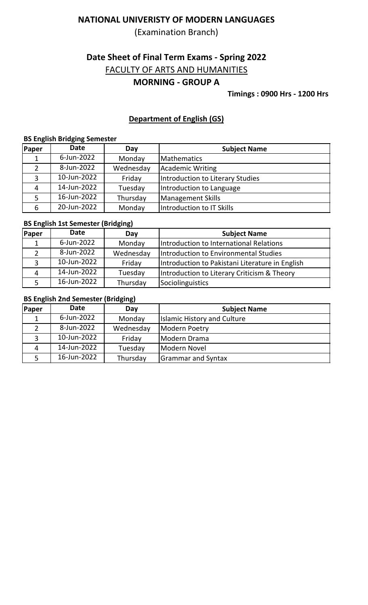(Examination Branch)

# **Date Sheet of Final Term Exams - Spring 2022**

FACULTY OF ARTS AND HUMANITIES

## **MORNING - GROUP A**

**Timings : 0900 Hrs - 1200 Hrs**

## **Department of English (GS)**

## **BS English Bridging Semester**

| Paper | <b>Date</b> | Day       | <b>Subject Name</b>              |
|-------|-------------|-----------|----------------------------------|
|       | 6-Jun-2022  | Monday    | <b>Mathematics</b>               |
|       | 8-Jun-2022  | Wednesday | Academic Writing                 |
| 3     | 10-Jun-2022 | Friday    | Introduction to Literary Studies |
| 4     | 14-Jun-2022 | Tuesday   | Introduction to Language         |
|       | 16-Jun-2022 | Thursday  | <b>Management Skills</b>         |
| 6     | 20-Jun-2022 | Monday    | Introduction to IT Skills        |

### **BS English 1st Semester (Bridging)**

| <b>Paper</b> | <b>Date</b> | --<br>Day | <b>Subject Name</b>                             |
|--------------|-------------|-----------|-------------------------------------------------|
|              | 6-Jun-2022  | Monday    | Introduction to International Relations         |
| 2            | 8-Jun-2022  | Wednesday | Introduction to Environmental Studies           |
| 3            | 10-Jun-2022 | Friday    | Introduction to Pakistani Literature in English |
| 4            | 14-Jun-2022 | Tuesday   | Introduction to Literary Criticism & Theory     |
|              | 16-Jun-2022 | Thursday  | Sociolinguistics                                |

### **BS English 2nd Semester (Bridging)**

| Paper | <b>Date</b> | Day       | <b>Subject Name</b>                |
|-------|-------------|-----------|------------------------------------|
|       | 6-Jun-2022  | Monday    | <b>Islamic History and Culture</b> |
|       | 8-Jun-2022  | Wednesday | Modern Poetry                      |
| 3     | 10-Jun-2022 | Friday    | Modern Drama                       |
| 4     | 14-Jun-2022 | Tuesday   | Modern Novel                       |
|       | 16-Jun-2022 | Thursday  | <b>Grammar and Syntax</b>          |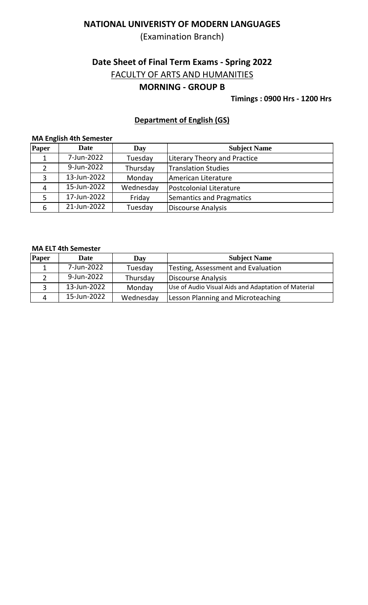(Examination Branch)

# **Date Sheet of Final Term Exams - Spring 2022**

FACULTY OF ARTS AND HUMANITIES

## **MORNING - GROUP B**

#### **Timings : 0900 Hrs - 1200 Hrs**

### **Department of English (GS)**

## **MA English 4th Semester**

| Paper | <b>Date</b> | Day       | <b>Subject Name</b>                 |
|-------|-------------|-----------|-------------------------------------|
|       | 7-Jun-2022  | Tuesday   | <b>Literary Theory and Practice</b> |
|       | 9-Jun-2022  | Thursday  | <b>Translation Studies</b>          |
| 3     | 13-Jun-2022 | Monday    | American Literature                 |
| 4     | 15-Jun-2022 | Wednesday | <b>Postcolonial Literature</b>      |
| 5     | 17-Jun-2022 | Friday    | Semantics and Pragmatics            |
| 6     | 21-Jun-2022 | Tuesday   | <b>Discourse Analysis</b>           |

#### **MA ELT 4th Semester**

| Paper | <b>Date</b> | Day       | <b>Subject Name</b>                                 |
|-------|-------------|-----------|-----------------------------------------------------|
|       | 7-Jun-2022  | Tuesday   | Testing, Assessment and Evaluation                  |
|       | 9-Jun-2022  | Thursday  | Discourse Analysis                                  |
|       | 13-Jun-2022 | Monday    | Use of Audio Visual Aids and Adaptation of Material |
|       | 15-Jun-2022 | Wednesday | <b>Lesson Planning and Microteaching</b>            |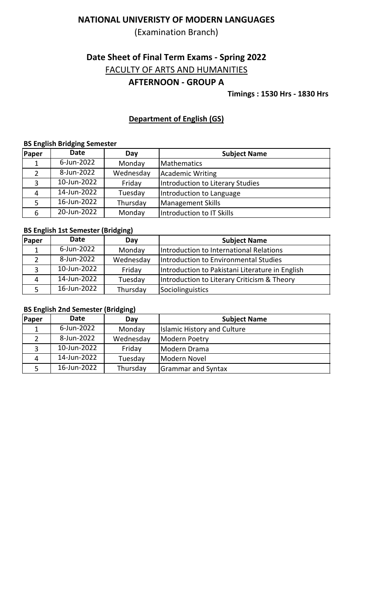(Examination Branch)

# **Date Sheet of Final Term Exams - Spring 2022**

FACULTY OF ARTS AND HUMANITIES

## **AFTERNOON - GROUP A**

**Timings : 1530 Hrs - 1830 Hrs**

## **Department of English (GS)**

#### **BS English Bridging Semester**

| Paper | <b>Date</b> | Day       | <b>Subject Name</b>              |
|-------|-------------|-----------|----------------------------------|
|       | 6-Jun-2022  | Monday    | <b>Mathematics</b>               |
| 2     | 8-Jun-2022  | Wednesday | Academic Writing                 |
| 3     | 10-Jun-2022 | Friday    | Introduction to Literary Studies |
| 4     | 14-Jun-2022 | Tuesday   | Introduction to Language         |
| 5     | 16-Jun-2022 | Thursday  | Management Skills                |
| 6     | 20-Jun-2022 | Monday    | Introduction to IT Skills        |

### **BS English 1st Semester (Bridging)**

| Paper        | <b>Date</b> | Day       | <b>Subject Name</b>                             |
|--------------|-------------|-----------|-------------------------------------------------|
|              | 6-Jun-2022  | Monday    | Introduction to International Relations         |
|              | 8-Jun-2022  | Wednesday | Introduction to Environmental Studies           |
| $\mathbf{R}$ | 10-Jun-2022 | Friday    | Introduction to Pakistani Literature in English |
| 4            | 14-Jun-2022 | Tuesday   | Introduction to Literary Criticism & Theory     |
|              | 16-Jun-2022 | Thursday  | Sociolinguistics                                |

### **BS English 2nd Semester (Bridging)**

| <b>Paper</b> | <b>Date</b> | Day       | <b>Subject Name</b>                |
|--------------|-------------|-----------|------------------------------------|
|              | 6-Jun-2022  | Monday    | <b>Islamic History and Culture</b> |
|              | 8-Jun-2022  | Wednesday | Modern Poetry                      |
| 3            | 10-Jun-2022 | Friday    | Modern Drama                       |
| 4            | 14-Jun-2022 | Tuesday   | Modern Novel                       |
|              | 16-Jun-2022 | Thursday  | <b>Grammar and Syntax</b>          |